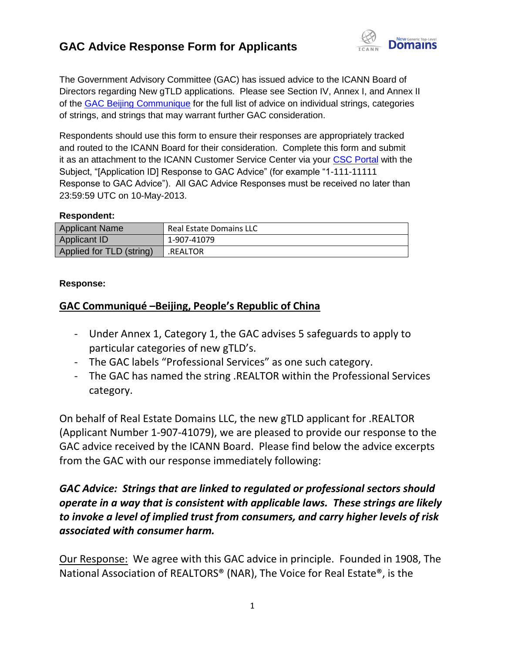

The Government Advisory Committee (GAC) has issued advice to the ICANN Board of Directors regarding New gTLD applications. Please see Section IV, Annex I, and Annex II of the [GAC Beijing Communique](http://www.icann.org/en/news/correspondence/gac-to-board-18apr13-en.pdf) for the full list of advice on individual strings, categories of strings, and strings that may warrant further GAC consideration.

Respondents should use this form to ensure their responses are appropriately tracked and routed to the ICANN Board for their consideration. Complete this form and submit it as an attachment to the ICANN Customer Service Center via your [CSC Portal](https://myicann.secure.force.com/) with the Subject, "[Application ID] Response to GAC Advice" (for example "1-111-11111 Response to GAC Advice"). All GAC Advice Responses must be received no later than 23:59:59 UTC on 10-May-2013.

#### **Respondent:**

| <b>Applicant Name</b>    | <b>Real Estate Domains LLC</b> |
|--------------------------|--------------------------------|
| Applicant ID             | 1-907-41079                    |
| Applied for TLD (string) | .REALTOR                       |

#### **Response:**

#### **GAC Communiqué –Beijing, People's Republic of China**

- Under Annex 1, Category 1, the GAC advises 5 safeguards to apply to particular categories of new gTLD's.
- The GAC labels "Professional Services" as one such category.
- The GAC has named the string .REALTOR within the Professional Services category.

On behalf of Real Estate Domains LLC, the new gTLD applicant for .REALTOR (Applicant Number 1-907-41079), we are pleased to provide our response to the GAC advice received by the ICANN Board. Please find below the advice excerpts from the GAC with our response immediately following:

# *GAC Advice: Strings that are linked to regulated or professional sectors should operate in a way that is consistent with applicable laws. These strings are likely to invoke a level of implied trust from consumers, and carry higher levels of risk associated with consumer harm.*

Our Response: We agree with this GAC advice in principle. Founded in 1908, The National Association of REALTORS® (NAR), The Voice for Real Estate®, is the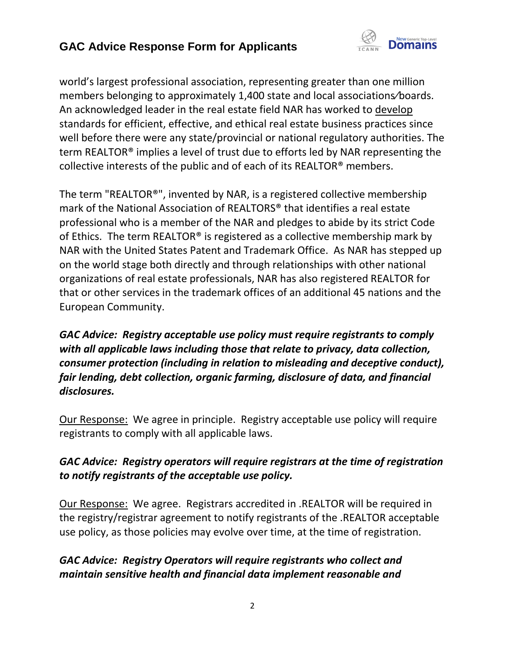

world's largest professional association, representing greater than one million members belonging to approximately 1,400 state and local associations⁄boards. An acknowledged leader in the real estate field NAR has worked to develop standards for efficient, effective, and ethical real estate business practices since well before there were any state/provincial or national regulatory authorities. The term REALTOR® implies a level of trust due to efforts led by NAR representing the collective interests of the public and of each of its REALTOR® members.

The term "REALTOR®", invented by NAR, is a registered collective membership mark of the National Association of REALTORS® that identifies a real estate professional who is a member of the NAR and pledges to abide by its strict Code of Ethics. The term REALTOR® is registered as a collective membership mark by NAR with the United States Patent and Trademark Office. As NAR has stepped up on the world stage both directly and through relationships with other national organizations of real estate professionals, NAR has also registered REALTOR for that or other services in the trademark offices of an additional 45 nations and the European Community.

*GAC Advice: Registry acceptable use policy must require registrants to comply with all applicable laws including those that relate to privacy, data collection, consumer protection (including in relation to misleading and deceptive conduct), fair lending, debt collection, organic farming, disclosure of data, and financial disclosures.*

Our Response: We agree in principle. Registry acceptable use policy will require registrants to comply with all applicable laws.

# *GAC Advice: Registry operators will require registrars at the time of registration to notify registrants of the acceptable use policy.*

Our Response: We agree. Registrars accredited in .REALTOR will be required in the registry/registrar agreement to notify registrants of the .REALTOR acceptable use policy, as those policies may evolve over time, at the time of registration.

# *GAC Advice: Registry Operators will require registrants who collect and maintain sensitive health and financial data implement reasonable and*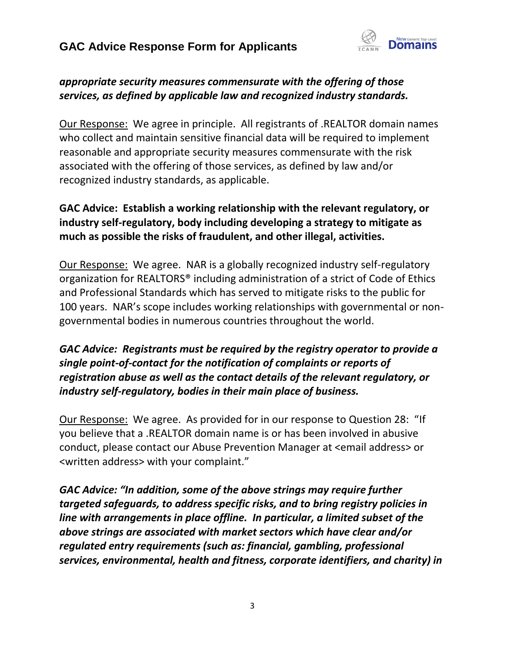

# *appropriate security measures commensurate with the offering of those services, as defined by applicable law and recognized industry standards.*

Our Response: We agree in principle. All registrants of .REALTOR domain names who collect and maintain sensitive financial data will be required to implement reasonable and appropriate security measures commensurate with the risk associated with the offering of those services, as defined by law and/or recognized industry standards, as applicable.

# **GAC Advice: Establish a working relationship with the relevant regulatory, or industry self-regulatory, body including developing a strategy to mitigate as much as possible the risks of fraudulent, and other illegal, activities.**

Our Response: We agree. NAR is a globally recognized industry self-regulatory organization for REALTORS® including administration of a strict of Code of Ethics and Professional Standards which has served to mitigate risks to the public for 100 years. NAR's scope includes working relationships with governmental or nongovernmental bodies in numerous countries throughout the world.

# *GAC Advice: Registrants must be required by the registry operator to provide a single point-of-contact for the notification of complaints or reports of registration abuse as well as the contact details of the relevant regulatory, or industry self-regulatory, bodies in their main place of business.*

Our Response: We agree. As provided for in our response to Question 28: "If you believe that a .REALTOR domain name is or has been involved in abusive conduct, please contact our Abuse Prevention Manager at <email address> or <written address> with your complaint."

*GAC Advice: "In addition, some of the above strings may require further targeted safeguards, to address specific risks, and to bring registry policies in line with arrangements in place offline. In particular, a limited subset of the above strings are associated with market sectors which have clear and/or regulated entry requirements (such as: financial, gambling, professional services, environmental, health and fitness, corporate identifiers, and charity) in*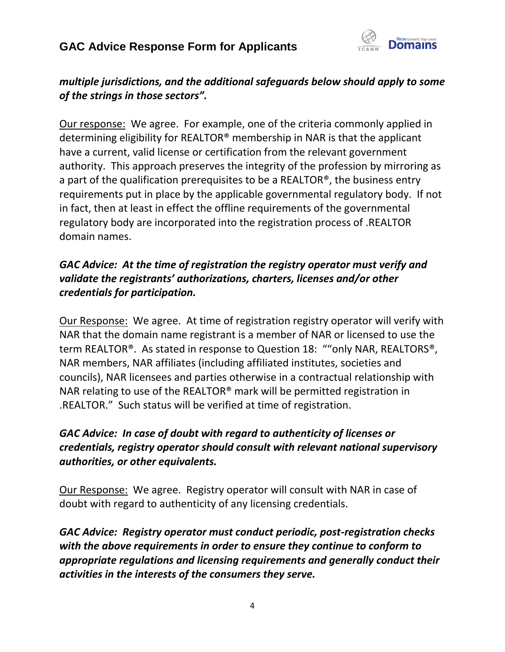

# *multiple jurisdictions, and the additional safeguards below should apply to some of the strings in those sectors".*

Our response: We agree. For example, one of the criteria commonly applied in determining eligibility for REALTOR® membership in NAR is that the applicant have a current, valid license or certification from the relevant government authority. This approach preserves the integrity of the profession by mirroring as a part of the qualification prerequisites to be a REALTOR®, the business entry requirements put in place by the applicable governmental regulatory body. If not in fact, then at least in effect the offline requirements of the governmental regulatory body are incorporated into the registration process of .REALTOR domain names.

# *GAC Advice: At the time of registration the registry operator must verify and validate the registrants' authorizations, charters, licenses and/or other credentials for participation.*

Our Response: We agree. At time of registration registry operator will verify with NAR that the domain name registrant is a member of NAR or licensed to use the term REALTOR®. As stated in response to Question 18: ""only NAR, REALTORS®, NAR members, NAR affiliates (including affiliated institutes, societies and councils), NAR licensees and parties otherwise in a contractual relationship with NAR relating to use of the REALTOR® mark will be permitted registration in .REALTOR." Such status will be verified at time of registration.

# *GAC Advice: In case of doubt with regard to authenticity of licenses or credentials, registry operator should consult with relevant national supervisory authorities, or other equivalents.*

Our Response: We agree. Registry operator will consult with NAR in case of doubt with regard to authenticity of any licensing credentials.

*GAC Advice: Registry operator must conduct periodic, post-registration checks with the above requirements in order to ensure they continue to conform to appropriate regulations and licensing requirements and generally conduct their activities in the interests of the consumers they serve.*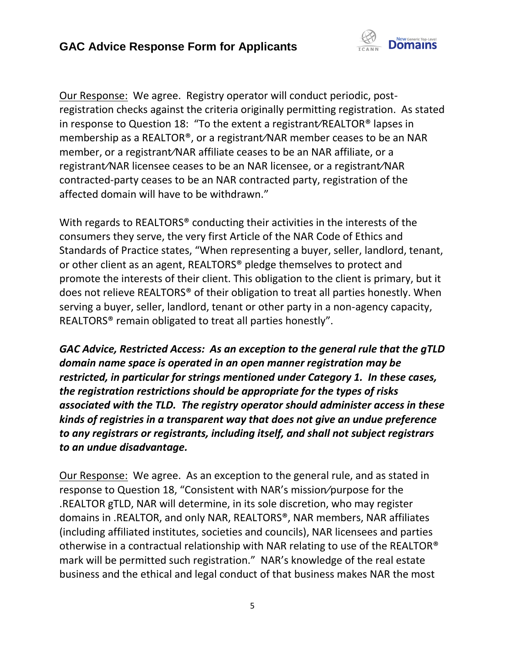

Our Response: We agree. Registry operator will conduct periodic, postregistration checks against the criteria originally permitting registration. As stated in response to Question 18: "To the extent a registrant⁄REALTOR® lapses in membership as a REALTOR®, or a registrant⁄NAR member ceases to be an NAR member, or a registrant⁄NAR affiliate ceases to be an NAR affiliate, or a registrant⁄NAR licensee ceases to be an NAR licensee, or a registrant⁄NAR contracted-party ceases to be an NAR contracted party, registration of the affected domain will have to be withdrawn."

With regards to REALTORS<sup>®</sup> conducting their activities in the interests of the consumers they serve, the very first Article of the NAR Code of Ethics and Standards of Practice states, "When representing a buyer, seller, landlord, tenant, or other client as an agent, REALTORS® pledge themselves to protect and promote the interests of their client. This obligation to the client is primary, but it does not relieve REALTORS® of their obligation to treat all parties honestly. When serving a buyer, seller, landlord, tenant or other party in a non-agency capacity, REALTORS® remain obligated to treat all parties honestly".

*GAC Advice, Restricted Access: As an exception to the general rule that the gTLD domain name space is operated in an open manner registration may be restricted, in particular for strings mentioned under Category 1. In these cases, the registration restrictions should be appropriate for the types of risks associated with the TLD. The registry operator should administer access in these kinds of registries in a transparent way that does not give an undue preference to any registrars or registrants, including itself, and shall not subject registrars to an undue disadvantage.*

Our Response: We agree. As an exception to the general rule, and as stated in response to Question 18, "Consistent with NAR's mission⁄purpose for the .REALTOR gTLD, NAR will determine, in its sole discretion, who may register domains in .REALTOR, and only NAR, REALTORS®, NAR members, NAR affiliates (including affiliated institutes, societies and councils), NAR licensees and parties otherwise in a contractual relationship with NAR relating to use of the REALTOR® mark will be permitted such registration." NAR's knowledge of the real estate business and the ethical and legal conduct of that business makes NAR the most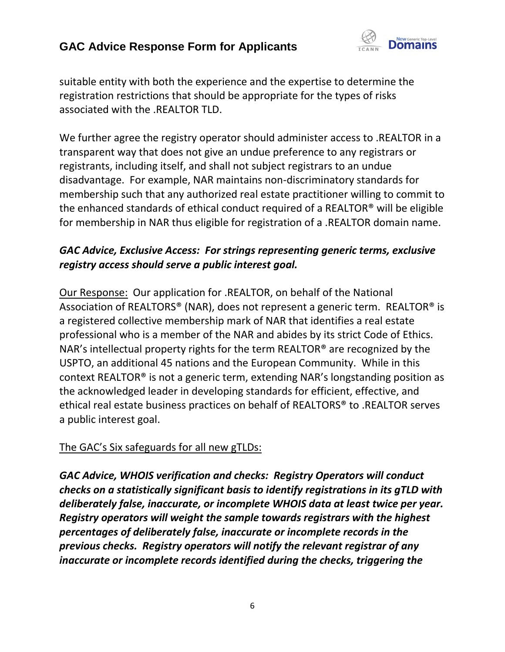

suitable entity with both the experience and the expertise to determine the registration restrictions that should be appropriate for the types of risks associated with the .REALTOR TLD.

We further agree the registry operator should administer access to .REALTOR in a transparent way that does not give an undue preference to any registrars or registrants, including itself, and shall not subject registrars to an undue disadvantage. For example, NAR maintains non-discriminatory standards for membership such that any authorized real estate practitioner willing to commit to the enhanced standards of ethical conduct required of a REALTOR® will be eligible for membership in NAR thus eligible for registration of a .REALTOR domain name.

### *GAC Advice, Exclusive Access: For strings representing generic terms, exclusive registry access should serve a public interest goal.*

Our Response: Our application for .REALTOR, on behalf of the National Association of REALTORS® (NAR), does not represent a generic term. REALTOR® is a registered collective membership mark of NAR that identifies a real estate professional who is a member of the NAR and abides by its strict Code of Ethics. NAR's intellectual property rights for the term REALTOR® are recognized by the USPTO, an additional 45 nations and the European Community. While in this context REALTOR® is not a generic term, extending NAR's longstanding position as the acknowledged leader in developing standards for efficient, effective, and ethical real estate business practices on behalf of REALTORS® to .REALTOR serves a public interest goal.

# The GAC's Six safeguards for all new gTLDs:

*GAC Advice, WHOIS verification and checks: Registry Operators will conduct checks on a statistically significant basis to identify registrations in its gTLD with deliberately false, inaccurate, or incomplete WHOIS data at least twice per year. Registry operators will weight the sample towards registrars with the highest percentages of deliberately false, inaccurate or incomplete records in the previous checks. Registry operators will notify the relevant registrar of any inaccurate or incomplete records identified during the checks, triggering the*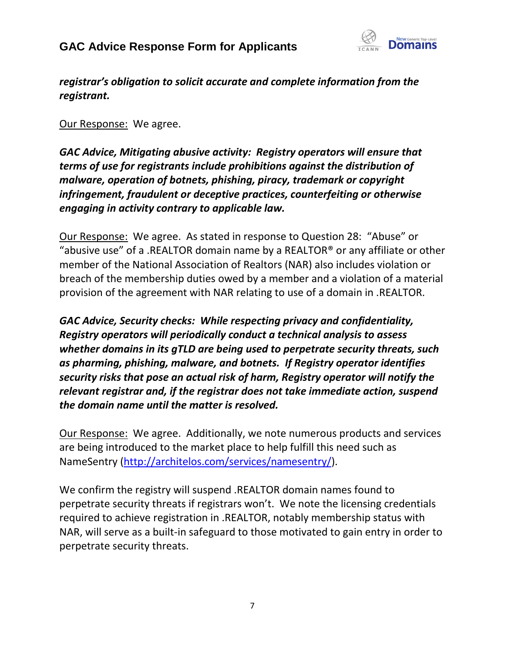

*registrar's obligation to solicit accurate and complete information from the registrant.*

Our Response: We agree.

*GAC Advice, Mitigating abusive activity: Registry operators will ensure that terms of use for registrants include prohibitions against the distribution of malware, operation of botnets, phishing, piracy, trademark or copyright infringement, fraudulent or deceptive practices, counterfeiting or otherwise engaging in activity contrary to applicable law.*

Our Response: We agree. As stated in response to Question 28: "Abuse" or "abusive use" of a .REALTOR domain name by a REALTOR® or any affiliate or other member of the National Association of Realtors (NAR) also includes violation or breach of the membership duties owed by a member and a violation of a material provision of the agreement with NAR relating to use of a domain in .REALTOR.

*GAC Advice, Security checks: While respecting privacy and confidentiality, Registry operators will periodically conduct a technical analysis to assess whether domains in its gTLD are being used to perpetrate security threats, such as pharming, phishing, malware, and botnets. If Registry operator identifies security risks that pose an actual risk of harm, Registry operator will notify the relevant registrar and, if the registrar does not take immediate action, suspend the domain name until the matter is resolved.*

Our Response: We agree. Additionally, we note numerous products and services are being introduced to the market place to help fulfill this need such as NameSentry [\(http://architelos.com/services/namesentry/\)](http://architelos.com/services/namesentry/).

We confirm the registry will suspend .REALTOR domain names found to perpetrate security threats if registrars won't. We note the licensing credentials required to achieve registration in .REALTOR, notably membership status with NAR, will serve as a built-in safeguard to those motivated to gain entry in order to perpetrate security threats.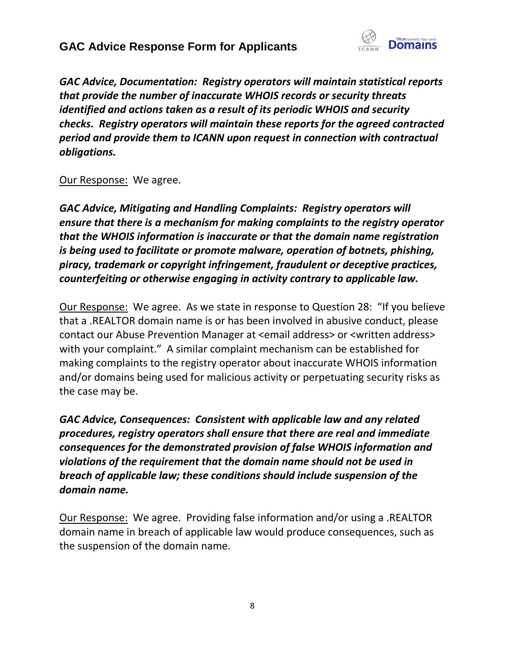

*GAC Advice, Documentation: Registry operators will maintain statistical reports that provide the number of inaccurate WHOIS records or security threats identified and actions taken as a result of its periodic WHOIS and security checks. Registry operators will maintain these reports for the agreed contracted period and provide them to ICANN upon request in connection with contractual obligations.*

#### Our Response: We agree.

*GAC Advice, Mitigating and Handling Complaints: Registry operators will ensure that there is a mechanism for making complaints to the registry operator that the WHOIS information is inaccurate or that the domain name registration is being used to facilitate or promote malware, operation of botnets, phishing, piracy, trademark or copyright infringement, fraudulent or deceptive practices, counterfeiting or otherwise engaging in activity contrary to applicable law.*

Our Response: We agree. As we state in response to Question 28: "If you believe that a .REALTOR domain name is or has been involved in abusive conduct, please contact our Abuse Prevention Manager at <email address> or <written address> with your complaint." A similar complaint mechanism can be established for making complaints to the registry operator about inaccurate WHOIS information and/or domains being used for malicious activity or perpetuating security risks as the case may be.

*GAC Advice, Consequences: Consistent with applicable law and any related procedures, registry operators shall ensure that there are real and immediate consequences for the demonstrated provision of false WHOIS information and violations of the requirement that the domain name should not be used in breach of applicable law; these conditions should include suspension of the domain name.*

Our Response: We agree. Providing false information and/or using a .REALTOR domain name in breach of applicable law would produce consequences, such as the suspension of the domain name.